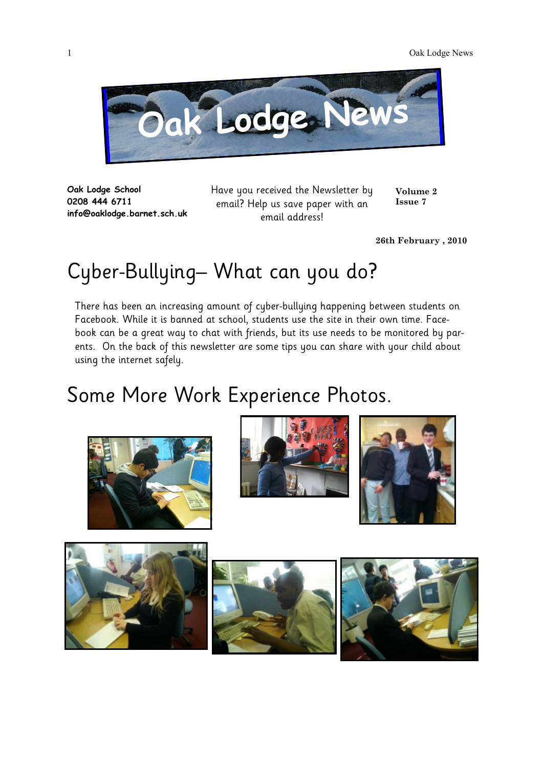

**Oak Lodge School 0208 444 6711 info@oaklodge.barnet.sch.uk** Have you received the Newsletter by email? Help us save paper with an email address!

**Volume 2 Issue 7**

**26th February , 2010**

# Cyber-Bullying– What can you do?

There has been an increasing amount of cyber-bullying happening between students on Facebook. While it is banned at school, students use the site in their own time. Facebook can be a great way to chat with friends, but its use needs to be monitored by parents. On the back of this newsletter are some tips you can share with your child about using the internet safely.

## Some More Work Experience Photos.











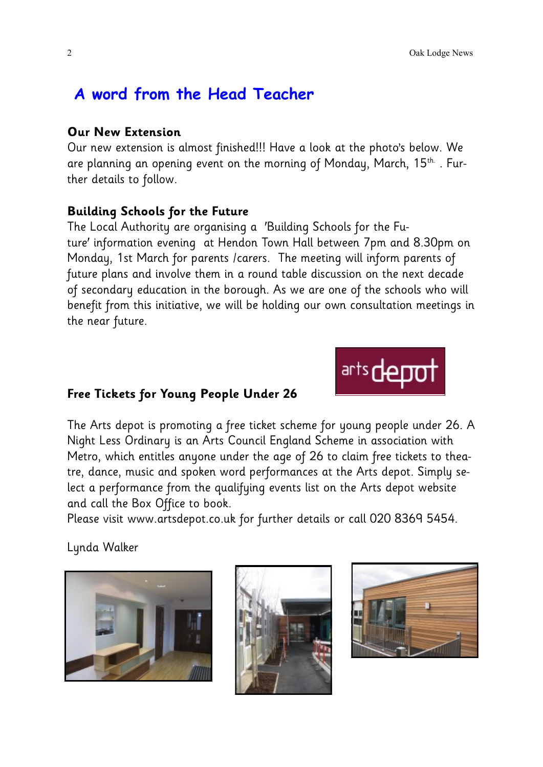## **A word from the Head Teacher**

#### **Our New Extension**

Our new extension is almost finished!!! Have a look at the photo's below. We are planning an opening event on the morning of Monday, March,  $15<sup>th</sup>$ . Further details to follow.

#### **Building Schools for the Future**

The Local Authority are organising a 'Building Schools for the Future' information evening at Hendon Town Hall between 7pm and 8.30pm on Monday, 1st March for parents /carers. The meeting will inform parents of future plans and involve them in a round table discussion on the next decade of secondary education in the borough. As we are one of the schools who will benefit from this initiative, we will be holding our own consultation meetings in the near future.

#### **Free Tickets for Young People Under 26**

The Arts depot is promoting a free ticket scheme for young people under 26. A Night Less Ordinary is an Arts Council England Scheme in association with Metro, which entitles anyone under the age of 26 to claim free tickets to theatre, dance, music and spoken word performances at the Arts depot. Simply select a performance from the qualifying events list on the Arts depot website and call the Box Office to book.

Please visit www.artsdepot.co.uk for further details or call 020 8369 5454.

Lynda Walker







arts depo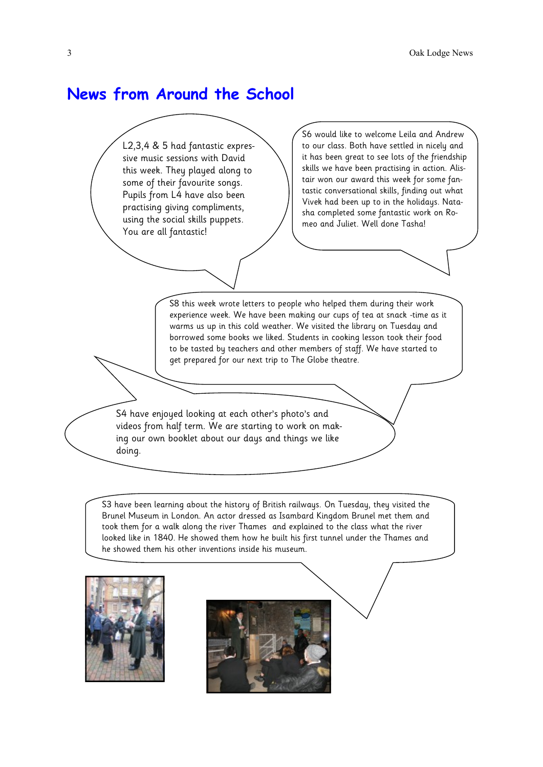### **News from Around the School**

L2,3,4 & 5 had fantastic expressive music sessions with David this week. They played along to some of their favourite songs. Pupils from L4 have also been practising giving compliments, using the social skills puppets. You are all fantastic!

S6 would like to welcome Leila and Andrew to our class. Both have settled in nicely and it has been great to see lots of the friendship skills we have been practising in action. Alistair won our award this week for some fantastic conversational skills, finding out what Vivek had been up to in the holidays. Natasha completed some fantastic work on Romeo and Juliet. Well done Tasha!

S8 this week wrote letters to people who helped them during their work experience week. We have been making our cups of tea at snack -time as it warms us up in this cold weather. We visited the library on Tuesday and borrowed some books we liked. Students in cooking lesson took their food to be tasted by teachers and other members of staff. We have started to get prepared for our next trip to The Globe theatre.

S4 have enjoyed looking at each other's photo's and videos from half term. We are starting to work on making our own booklet about our days and things we like doing.

S3 have been learning about the history of British railways. On Tuesday, they visited the Brunel Museum in London. An actor dressed as Isambard Kingdom Brunel met them and took them for a walk along the river Thames and explained to the class what the river looked like in 1840. He showed them how he built his first tunnel under the Thames and he showed them his other inventions inside his museum.